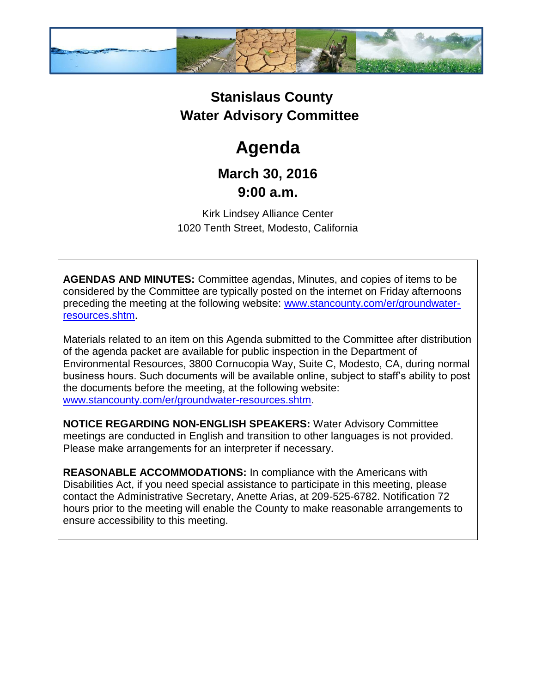

## **Stanislaus County Water Advisory Committee**

# **Agenda**

### **March 30, 2016 9:00 a.m.**

Kirk Lindsey Alliance Center 1020 Tenth Street, Modesto, California

**AGENDAS AND MINUTES:** Committee agendas, Minutes, and copies of items to be considered by the Committee are typically posted on the internet on Friday afternoons preceding the meeting at the following website: [www.stancounty.com/er/groundwater](http://www.stancounty.com/er/groundwater-resources.shtm)[resources.shtm.](http://www.stancounty.com/er/groundwater-resources.shtm)

Materials related to an item on this Agenda submitted to the Committee after distribution of the agenda packet are available for public inspection in the Department of Environmental Resources, 3800 Cornucopia Way, Suite C, Modesto, CA, during normal business hours. Such documents will be available online, subject to staff's ability to post the documents before the meeting, at the following website: [www.stancounty.com/er/groundwater-resources.shtm.](http://www.stancounty.com/er/groundwater-resources.shtm)

**NOTICE REGARDING NON-ENGLISH SPEAKERS:** Water Advisory Committee meetings are conducted in English and transition to other languages is not provided. Please make arrangements for an interpreter if necessary.

**REASONABLE ACCOMMODATIONS:** In compliance with the Americans with Disabilities Act, if you need special assistance to participate in this meeting, please contact the Administrative Secretary, Anette Arias, at 209-525-6782. Notification 72 hours prior to the meeting will enable the County to make reasonable arrangements to ensure accessibility to this meeting.